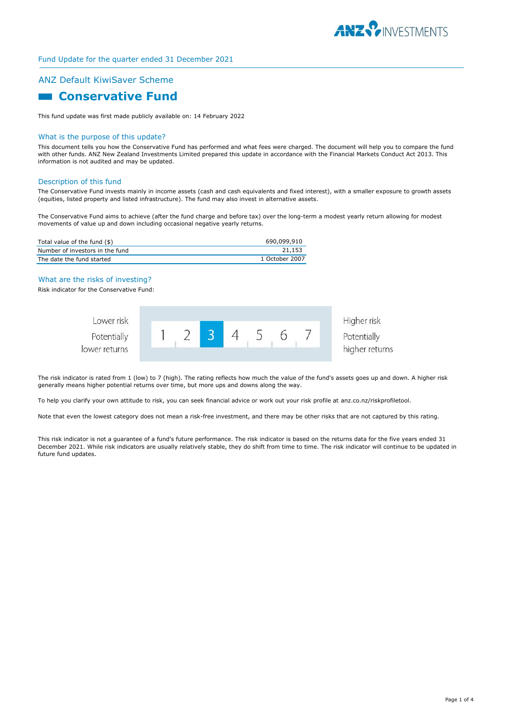

# ANZ Default KiwiSaver Scheme

# **Conservative Fund**

This fund update was first made publicly available on: 14 February 2022

#### What is the purpose of this update?

This document tells you how the Conservative Fund has performed and what fees were charged. The document will help you to compare the fund with other funds. ANZ New Zealand Investments Limited prepared this update in accordance with the Financial Markets Conduct Act 2013. This information is not audited and may be updated.

#### Description of this fund

The Conservative Fund invests mainly in income assets (cash and cash equivalents and fixed interest), with a smaller exposure to growth assets (equities, listed property and listed infrastructure). The fund may also invest in alternative assets.

The Conservative Fund aims to achieve (after the fund charge and before tax) over the long-term a modest yearly return allowing for modest movements of value up and down including occasional negative yearly returns.

| Total value of the fund (\$)    | 690,099,910    |
|---------------------------------|----------------|
| Number of investors in the fund | 21.153         |
| The date the fund started       | 1 October 2007 |

#### What are the risks of investing?

Risk indicator for the Conservative Fund:



The risk indicator is rated from 1 (low) to 7 (high). The rating reflects how much the value of the fund's assets goes up and down. A higher risk generally means higher potential returns over time, but more ups and downs along the way.

To help you clarify your own attitude to risk, you can seek financial advice or work out your risk profile at anz.co.nz/riskprofiletool.

Note that even the lowest category does not mean a risk-free investment, and there may be other risks that are not captured by this rating.

This risk indicator is not a guarantee of a fund's future performance. The risk indicator is based on the returns data for the five years ended 31 December 2021. While risk indicators are usually relatively stable, they do shift from time to time. The risk indicator will continue to be updated in future fund updates.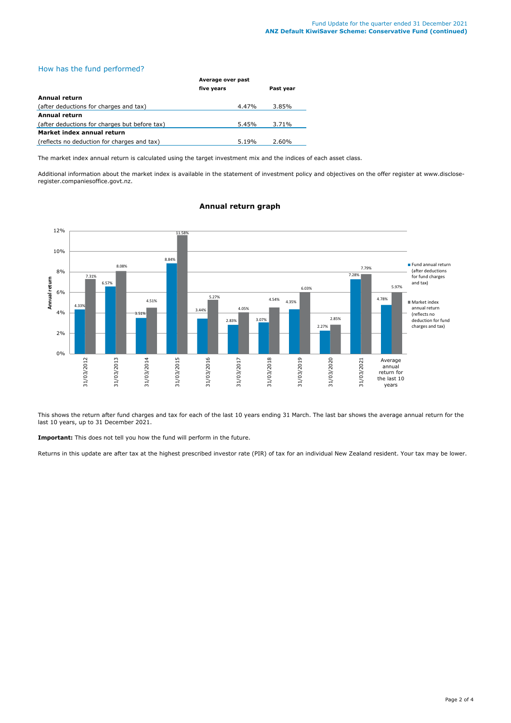## How has the fund performed?

|                                               | Average over past |           |  |
|-----------------------------------------------|-------------------|-----------|--|
|                                               | five years        | Past year |  |
| Annual return                                 |                   |           |  |
| (after deductions for charges and tax)        | 4.47%             | 3.85%     |  |
| <b>Annual return</b>                          |                   |           |  |
| (after deductions for charges but before tax) | 5.45%             | 3.71%     |  |
| Market index annual return                    |                   |           |  |
| (reflects no deduction for charges and tax)   | 5.19%             | 2.60%     |  |

The market index annual return is calculated using the target investment mix and the indices of each asset class.

Additional information about the market index is available in the statement of investment policy and objectives on the offer register at www.discloseregister.companiesoffice.govt.nz.



# **Annual return graph**

This shows the return after fund charges and tax for each of the last 10 years ending 31 March. The last bar shows the average annual return for the last 10 years, up to 31 December 2021.

**Important:** This does not tell you how the fund will perform in the future.

Returns in this update are after tax at the highest prescribed investor rate (PIR) of tax for an individual New Zealand resident. Your tax may be lower.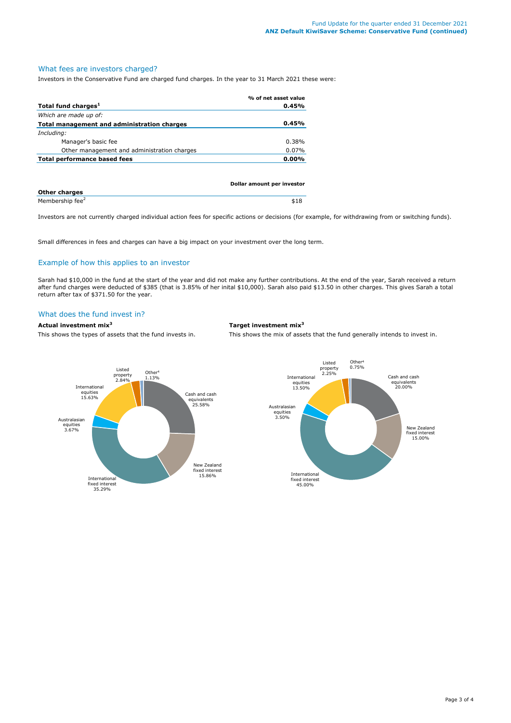#### What fees are investors charged?

Investors in the Conservative Fund are charged fund charges. In the year to 31 March 2021 these were:

|                                             | % of net asset value       |
|---------------------------------------------|----------------------------|
| Total fund charges <sup>1</sup>             | 0.45%                      |
| Which are made up of:                       |                            |
| Total management and administration charges | 0.45%                      |
| Including:                                  |                            |
| Manager's basic fee                         | $0.38\%$                   |
| Other management and administration charges | 0.07%                      |
| <b>Total performance based fees</b>         | $0.00\%$                   |
|                                             |                            |
|                                             |                            |
|                                             | Dollar amount per investor |

| <b>Other charges</b>        |  |
|-----------------------------|--|
| Membership fee <sup>2</sup> |  |

Investors are not currently charged individual action fees for specific actions or decisions (for example, for withdrawing from or switching funds).

Small differences in fees and charges can have a big impact on your investment over the long term.

# Example of how this applies to an investor

Sarah had \$10,000 in the fund at the start of the year and did not make any further contributions. At the end of the year, Sarah received a return after fund charges were deducted of \$385 (that is 3.85% of her inital \$10,000). Sarah also paid \$13.50 in other charges. This gives Sarah a total return after tax of \$371.50 for the year.

# What does the fund invest in?

**Actual investment mix<sup>3</sup> Target investment mix<sup>3</sup>**

This shows the types of assets that the fund invests in. This shows the mix of assets that the fund generally intends to invest in.